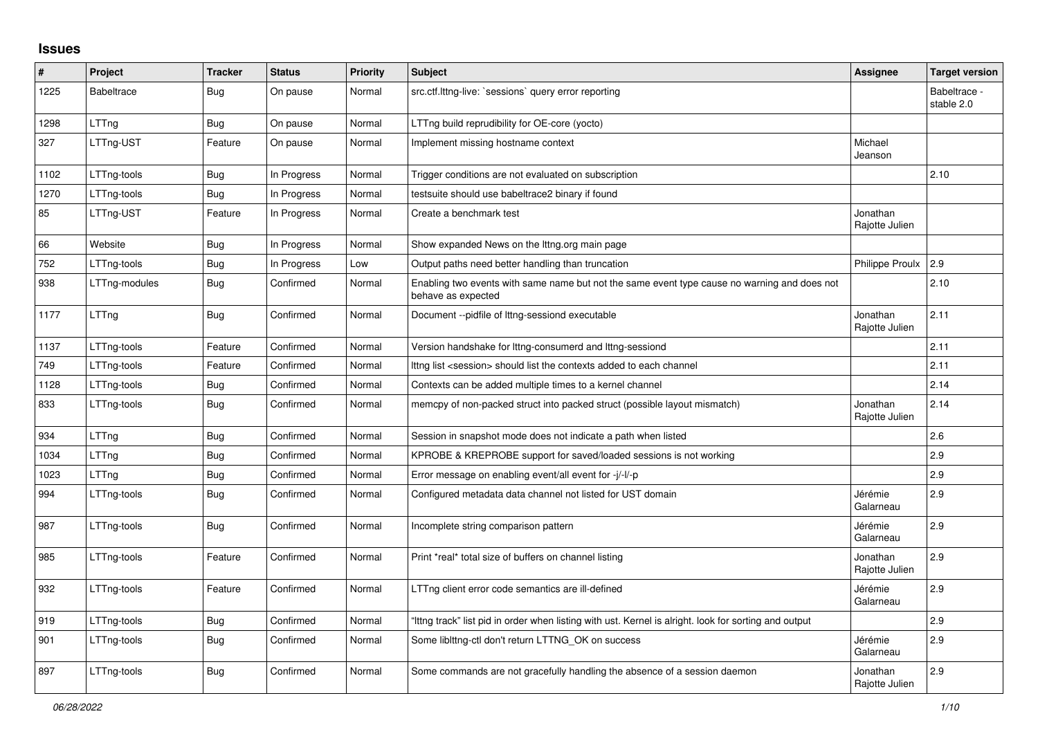## **Issues**

| #    | <b>Project</b>    | <b>Tracker</b> | <b>Status</b> | <b>Priority</b> | <b>Subject</b>                                                                                                     | <b>Assignee</b>            | <b>Target version</b>      |
|------|-------------------|----------------|---------------|-----------------|--------------------------------------------------------------------------------------------------------------------|----------------------------|----------------------------|
| 1225 | <b>Babeltrace</b> | Bug            | On pause      | Normal          | src.ctf.lttng-live: `sessions` query error reporting                                                               |                            | Babeltrace -<br>stable 2.0 |
| 1298 | LTTng             | Bug            | On pause      | Normal          | LTTng build reprudibility for OE-core (yocto)                                                                      |                            |                            |
| 327  | LTTng-UST         | Feature        | On pause      | Normal          | Implement missing hostname context                                                                                 | Michael<br>Jeanson         |                            |
| 1102 | LTTng-tools       | <b>Bug</b>     | In Progress   | Normal          | Trigger conditions are not evaluated on subscription                                                               |                            | 2.10                       |
| 1270 | LTTng-tools       | Bug            | In Progress   | Normal          | testsuite should use babeltrace2 binary if found                                                                   |                            |                            |
| 85   | LTTng-UST         | Feature        | In Progress   | Normal          | Create a benchmark test                                                                                            | Jonathan<br>Rajotte Julien |                            |
| 66   | Website           | Bug            | In Progress   | Normal          | Show expanded News on the Ittng.org main page                                                                      |                            |                            |
| 752  | LTTng-tools       | <b>Bug</b>     | In Progress   | Low             | Output paths need better handling than truncation                                                                  | Philippe Proulx            | 2.9                        |
| 938  | LTTng-modules     | Bug            | Confirmed     | Normal          | Enabling two events with same name but not the same event type cause no warning and does not<br>behave as expected |                            | 2.10                       |
| 1177 | LTTng             | Bug            | Confirmed     | Normal          | Document --pidfile of Ittng-sessiond executable                                                                    | Jonathan<br>Rajotte Julien | 2.11                       |
| 1137 | LTTng-tools       | Feature        | Confirmed     | Normal          | Version handshake for lttng-consumerd and lttng-sessiond                                                           |                            | 2.11                       |
| 749  | LTTng-tools       | Feature        | Confirmed     | Normal          | Ittng list <session> should list the contexts added to each channel</session>                                      |                            | 2.11                       |
| 1128 | LTTng-tools       | Bug            | Confirmed     | Normal          | Contexts can be added multiple times to a kernel channel                                                           |                            | 2.14                       |
| 833  | LTTng-tools       | <b>Bug</b>     | Confirmed     | Normal          | memcpy of non-packed struct into packed struct (possible layout mismatch)                                          | Jonathan<br>Rajotte Julien | 2.14                       |
| 934  | LTTng             | Bug            | Confirmed     | Normal          | Session in snapshot mode does not indicate a path when listed                                                      |                            | 2.6                        |
| 1034 | LTTng             | <b>Bug</b>     | Confirmed     | Normal          | KPROBE & KREPROBE support for saved/loaded sessions is not working                                                 |                            | 2.9                        |
| 1023 | LTTng             | Bug            | Confirmed     | Normal          | Error message on enabling event/all event for -j/-l/-p                                                             |                            | 2.9                        |
| 994  | LTTng-tools       | Bug            | Confirmed     | Normal          | Configured metadata data channel not listed for UST domain                                                         | Jérémie<br>Galarneau       | 2.9                        |
| 987  | LTTng-tools       | Bug            | Confirmed     | Normal          | Incomplete string comparison pattern                                                                               | Jérémie<br>Galarneau       | 2.9                        |
| 985  | LTTng-tools       | Feature        | Confirmed     | Normal          | Print *real* total size of buffers on channel listing                                                              | Jonathan<br>Rajotte Julien | 2.9                        |
| 932  | LTTng-tools       | Feature        | Confirmed     | Normal          | LTTng client error code semantics are ill-defined                                                                  | Jérémie<br>Galarneau       | 2.9                        |
| 919  | LTTng-tools       | <b>Bug</b>     | Confirmed     | Normal          | "Ittng track" list pid in order when listing with ust. Kernel is alright. look for sorting and output              |                            | 2.9                        |
| 901  | LTTng-tools       | Bug            | Confirmed     | Normal          | Some libittng-ctl don't return LTTNG OK on success                                                                 | Jérémie<br>Galarneau       | 2.9                        |
| 897  | LTTng-tools       | Bug            | Confirmed     | Normal          | Some commands are not gracefully handling the absence of a session daemon                                          | Jonathan<br>Rajotte Julien | 2.9                        |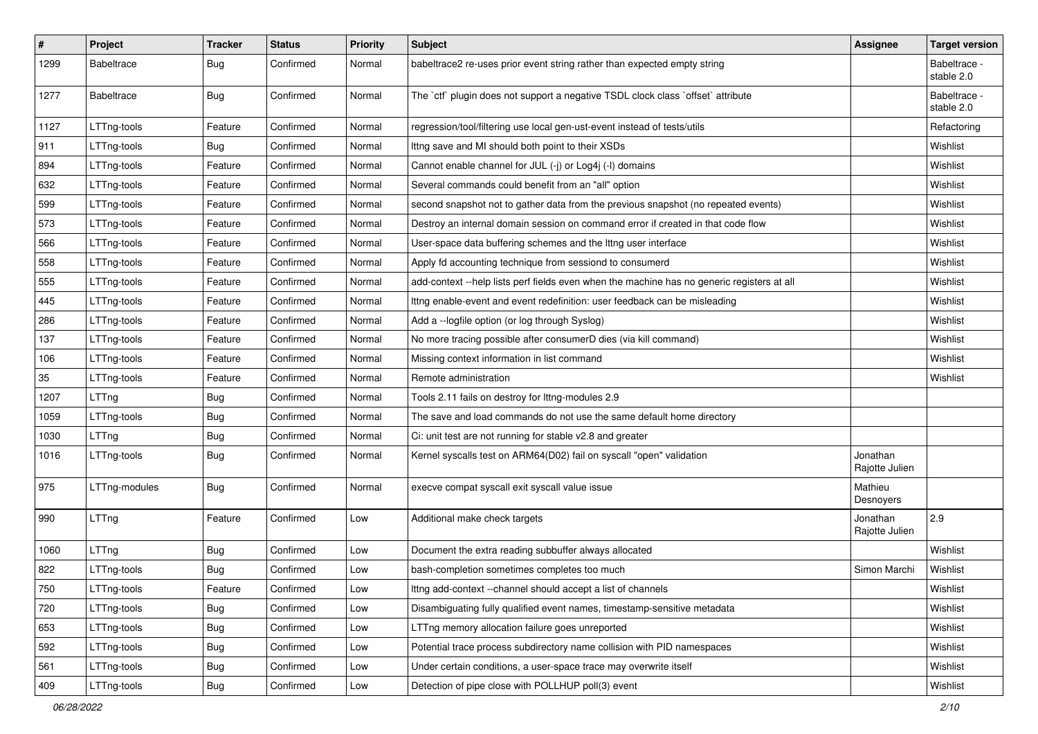| $\pmb{\#}$ | Project           | <b>Tracker</b> | <b>Status</b> | <b>Priority</b> | Subject                                                                                    | <b>Assignee</b>            | <b>Target version</b>      |
|------------|-------------------|----------------|---------------|-----------------|--------------------------------------------------------------------------------------------|----------------------------|----------------------------|
| 1299       | <b>Babeltrace</b> | Bug            | Confirmed     | Normal          | babeltrace2 re-uses prior event string rather than expected empty string                   |                            | Babeltrace -<br>stable 2.0 |
| 1277       | Babeltrace        | Bug            | Confirmed     | Normal          | The `ctf` plugin does not support a negative TSDL clock class `offset` attribute           |                            | Babeltrace -<br>stable 2.0 |
| 1127       | LTTng-tools       | Feature        | Confirmed     | Normal          | regression/tool/filtering use local gen-ust-event instead of tests/utils                   |                            | Refactoring                |
| 911        | LTTng-tools       | Bug            | Confirmed     | Normal          | Ittng save and MI should both point to their XSDs                                          |                            | Wishlist                   |
| 894        | LTTng-tools       | Feature        | Confirmed     | Normal          | Cannot enable channel for JUL (-j) or Log4j (-l) domains                                   |                            | Wishlist                   |
| 632        | LTTng-tools       | Feature        | Confirmed     | Normal          | Several commands could benefit from an "all" option                                        |                            | Wishlist                   |
| 599        | LTTng-tools       | Feature        | Confirmed     | Normal          | second snapshot not to gather data from the previous snapshot (no repeated events)         |                            | Wishlist                   |
| 573        | LTTng-tools       | Feature        | Confirmed     | Normal          | Destroy an internal domain session on command error if created in that code flow           |                            | Wishlist                   |
| 566        | LTTng-tools       | Feature        | Confirmed     | Normal          | User-space data buffering schemes and the lttng user interface                             |                            | Wishlist                   |
| 558        | LTTng-tools       | Feature        | Confirmed     | Normal          | Apply fd accounting technique from sessiond to consumerd                                   |                            | Wishlist                   |
| 555        | LTTng-tools       | Feature        | Confirmed     | Normal          | add-context --help lists perf fields even when the machine has no generic registers at all |                            | Wishlist                   |
| 445        | LTTng-tools       | Feature        | Confirmed     | Normal          | Ittng enable-event and event redefinition: user feedback can be misleading                 |                            | Wishlist                   |
| 286        | LTTng-tools       | Feature        | Confirmed     | Normal          | Add a --logfile option (or log through Syslog)                                             |                            | Wishlist                   |
| 137        | LTTng-tools       | Feature        | Confirmed     | Normal          | No more tracing possible after consumerD dies (via kill command)                           |                            | Wishlist                   |
| 106        | LTTng-tools       | Feature        | Confirmed     | Normal          | Missing context information in list command                                                |                            | Wishlist                   |
| 35         | LTTng-tools       | Feature        | Confirmed     | Normal          | Remote administration                                                                      |                            | Wishlist                   |
| 1207       | LTTng             | Bug            | Confirmed     | Normal          | Tools 2.11 fails on destroy for lttng-modules 2.9                                          |                            |                            |
| 1059       | LTTng-tools       | <b>Bug</b>     | Confirmed     | Normal          | The save and load commands do not use the same default home directory                      |                            |                            |
| 1030       | LTTng             | Bug            | Confirmed     | Normal          | Ci: unit test are not running for stable v2.8 and greater                                  |                            |                            |
| 1016       | LTTng-tools       | Bug            | Confirmed     | Normal          | Kernel syscalls test on ARM64(D02) fail on syscall "open" validation                       | Jonathan<br>Rajotte Julien |                            |
| 975        | LTTng-modules     | <b>Bug</b>     | Confirmed     | Normal          | execve compat syscall exit syscall value issue                                             | Mathieu<br>Desnoyers       |                            |
| 990        | LTTng             | Feature        | Confirmed     | Low             | Additional make check targets                                                              | Jonathan<br>Rajotte Julien | 2.9                        |
| 1060       | LTTng             | Bug            | Confirmed     | Low             | Document the extra reading subbuffer always allocated                                      |                            | Wishlist                   |
| 822        | LTTng-tools       | Bug            | Confirmed     | Low             | bash-completion sometimes completes too much                                               | Simon Marchi               | Wishlist                   |
| 750        | LTTng-tools       | Feature        | Confirmed     | LOW             | Ittng add-context --channel should accept a list of channels                               |                            | Wishlist                   |
| 720        | LTTng-tools       | <b>Bug</b>     | Confirmed     | Low             | Disambiguating fully qualified event names, timestamp-sensitive metadata                   |                            | Wishlist                   |
| 653        | LTTng-tools       | <b>Bug</b>     | Confirmed     | Low             | LTTng memory allocation failure goes unreported                                            |                            | Wishlist                   |
| 592        | LTTng-tools       | Bug            | Confirmed     | Low             | Potential trace process subdirectory name collision with PID namespaces                    |                            | Wishlist                   |
| 561        | LTTng-tools       | <b>Bug</b>     | Confirmed     | Low             | Under certain conditions, a user-space trace may overwrite itself                          |                            | Wishlist                   |
| 409        | LTTng-tools       | Bug            | Confirmed     | Low             | Detection of pipe close with POLLHUP poll(3) event                                         |                            | Wishlist                   |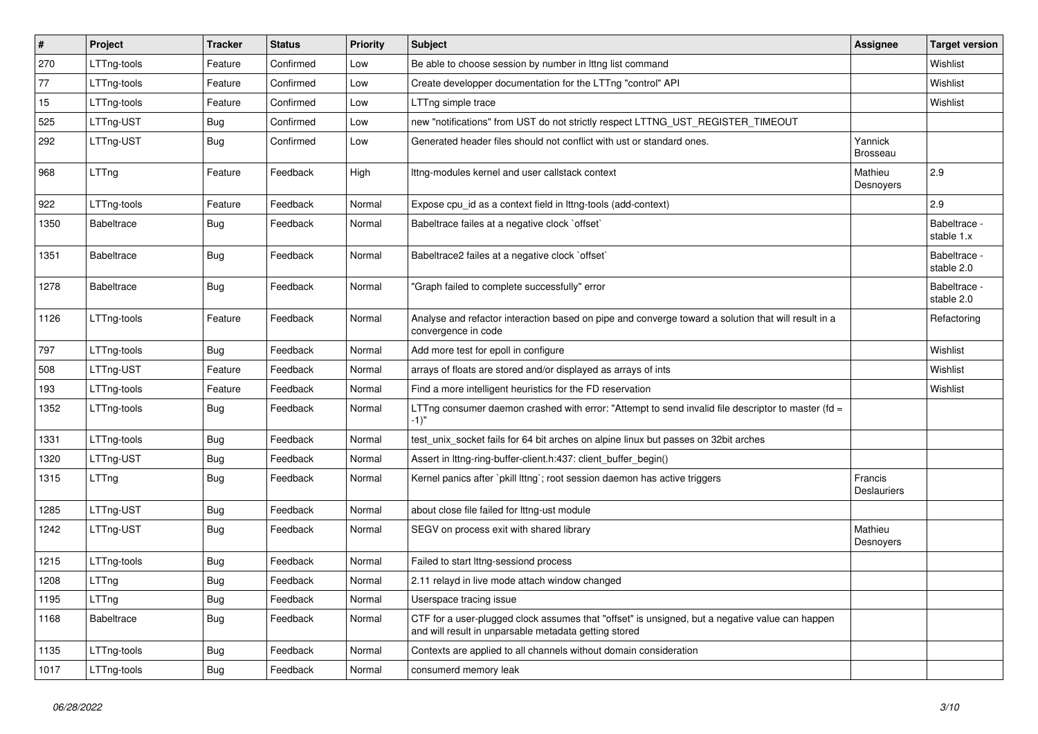| $\sharp$ | Project           | <b>Tracker</b> | <b>Status</b> | Priority | Subject                                                                                                                                                  | <b>Assignee</b>        | <b>Target version</b>      |
|----------|-------------------|----------------|---------------|----------|----------------------------------------------------------------------------------------------------------------------------------------------------------|------------------------|----------------------------|
| 270      | LTTng-tools       | Feature        | Confirmed     | Low      | Be able to choose session by number in Ittng list command                                                                                                |                        | Wishlist                   |
| 77       | LTTng-tools       | Feature        | Confirmed     | Low      | Create developper documentation for the LTTng "control" API                                                                                              |                        | Wishlist                   |
| 15       | LTTng-tools       | Feature        | Confirmed     | Low      | LTTng simple trace                                                                                                                                       |                        | Wishlist                   |
| 525      | LTTng-UST         | <b>Bug</b>     | Confirmed     | Low      | new "notifications" from UST do not strictly respect LTTNG_UST_REGISTER_TIMEOUT                                                                          |                        |                            |
| 292      | LTTng-UST         | <b>Bug</b>     | Confirmed     | Low      | Generated header files should not conflict with ust or standard ones.                                                                                    | Yannick<br>Brosseau    |                            |
| 968      | LTTng             | Feature        | Feedback      | High     | Ittng-modules kernel and user callstack context                                                                                                          | Mathieu<br>Desnoyers   | 2.9                        |
| 922      | LTTng-tools       | Feature        | Feedback      | Normal   | Expose cpu_id as a context field in lttng-tools (add-context)                                                                                            |                        | 2.9                        |
| 1350     | <b>Babeltrace</b> | <b>Bug</b>     | Feedback      | Normal   | Babeltrace failes at a negative clock 'offset'                                                                                                           |                        | Babeltrace -<br>stable 1.x |
| 1351     | <b>Babeltrace</b> | <b>Bug</b>     | Feedback      | Normal   | Babeltrace2 failes at a negative clock `offset`                                                                                                          |                        | Babeltrace -<br>stable 2.0 |
| 1278     | <b>Babeltrace</b> | <b>Bug</b>     | Feedback      | Normal   | "Graph failed to complete successfully" error                                                                                                            |                        | Babeltrace -<br>stable 2.0 |
| 1126     | LTTng-tools       | Feature        | Feedback      | Normal   | Analyse and refactor interaction based on pipe and converge toward a solution that will result in a<br>convergence in code                               |                        | Refactoring                |
| 797      | LTTng-tools       | Bug            | Feedback      | Normal   | Add more test for epoll in configure                                                                                                                     |                        | Wishlist                   |
| 508      | LTTng-UST         | Feature        | Feedback      | Normal   | arrays of floats are stored and/or displayed as arrays of ints                                                                                           |                        | Wishlist                   |
| 193      | LTTng-tools       | Feature        | Feedback      | Normal   | Find a more intelligent heuristics for the FD reservation                                                                                                |                        | Wishlist                   |
| 1352     | LTTng-tools       | <b>Bug</b>     | Feedback      | Normal   | LTTng consumer daemon crashed with error: "Attempt to send invalid file descriptor to master (fd =<br>$-1)$ "                                            |                        |                            |
| 1331     | LTTng-tools       | Bug            | Feedback      | Normal   | test_unix_socket fails for 64 bit arches on alpine linux but passes on 32bit arches                                                                      |                        |                            |
| 1320     | LTTng-UST         | <b>Bug</b>     | Feedback      | Normal   | Assert in lttng-ring-buffer-client.h:437: client_buffer_begin()                                                                                          |                        |                            |
| 1315     | LTTng             | <b>Bug</b>     | Feedback      | Normal   | Kernel panics after `pkill lttng`; root session daemon has active triggers                                                                               | Francis<br>Deslauriers |                            |
| 1285     | LTTng-UST         | <b>Bug</b>     | Feedback      | Normal   | about close file failed for Ittng-ust module                                                                                                             |                        |                            |
| 1242     | LTTng-UST         | <b>Bug</b>     | Feedback      | Normal   | SEGV on process exit with shared library                                                                                                                 | Mathieu<br>Desnoyers   |                            |
| 1215     | LTTng-tools       | <b>Bug</b>     | Feedback      | Normal   | Failed to start lttng-sessiond process                                                                                                                   |                        |                            |
| 1208     | LTTng             | Bug            | Feedback      | Normal   | 2.11 relayd in live mode attach window changed                                                                                                           |                        |                            |
| 1195     | LTTng             | <b>Bug</b>     | Feedback      | Normal   | Userspace tracing issue                                                                                                                                  |                        |                            |
| 1168     | <b>Babeltrace</b> | <b>Bug</b>     | Feedback      | Normal   | CTF for a user-plugged clock assumes that "offset" is unsigned, but a negative value can happen<br>and will result in unparsable metadata getting stored |                        |                            |
| 1135     | LTTng-tools       | <b>Bug</b>     | Feedback      | Normal   | Contexts are applied to all channels without domain consideration                                                                                        |                        |                            |
| 1017     | LTTng-tools       | Bug            | Feedback      | Normal   | consumerd memory leak                                                                                                                                    |                        |                            |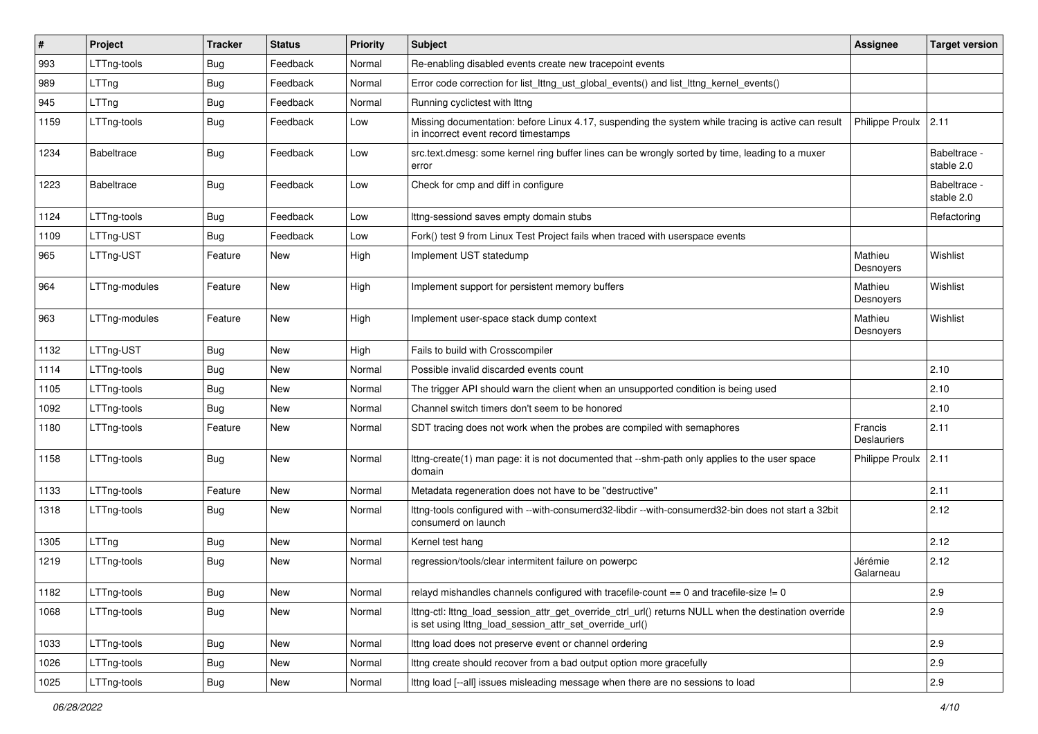| ∦    | Project           | <b>Tracker</b> | <b>Status</b> | Priority | <b>Subject</b>                                                                                                                                                   | Assignee               | <b>Target version</b>      |
|------|-------------------|----------------|---------------|----------|------------------------------------------------------------------------------------------------------------------------------------------------------------------|------------------------|----------------------------|
| 993  | LTTng-tools       | <b>Bug</b>     | Feedback      | Normal   | Re-enabling disabled events create new tracepoint events                                                                                                         |                        |                            |
| 989  | LTTng             | <b>Bug</b>     | Feedback      | Normal   | Error code correction for list_lttng_ust_global_events() and list_lttng_kernel_events()                                                                          |                        |                            |
| 945  | LTTng             | <b>Bug</b>     | Feedback      | Normal   | Running cyclictest with Ittng                                                                                                                                    |                        |                            |
| 1159 | LTTng-tools       | Bug            | Feedback      | Low      | Missing documentation: before Linux 4.17, suspending the system while tracing is active can result<br>in incorrect event record timestamps                       | <b>Philippe Proulx</b> | 2.11                       |
| 1234 | <b>Babeltrace</b> | <b>Bug</b>     | Feedback      | Low      | src.text.dmesg: some kernel ring buffer lines can be wrongly sorted by time, leading to a muxer<br>error                                                         |                        | Babeltrace -<br>stable 2.0 |
| 1223 | <b>Babeltrace</b> | Bug            | Feedback      | Low      | Check for cmp and diff in configure                                                                                                                              |                        | Babeltrace -<br>stable 2.0 |
| 1124 | LTTng-tools       | <b>Bug</b>     | Feedback      | Low      | Ittng-sessiond saves empty domain stubs                                                                                                                          |                        | Refactoring                |
| 1109 | LTTng-UST         | Bug            | Feedback      | Low      | Fork() test 9 from Linux Test Project fails when traced with userspace events                                                                                    |                        |                            |
| 965  | LTTng-UST         | Feature        | New           | High     | Implement UST statedump                                                                                                                                          | Mathieu<br>Desnoyers   | Wishlist                   |
| 964  | LTTng-modules     | Feature        | <b>New</b>    | High     | Implement support for persistent memory buffers                                                                                                                  | Mathieu<br>Desnoyers   | Wishlist                   |
| 963  | LTTng-modules     | Feature        | New           | High     | Implement user-space stack dump context                                                                                                                          | Mathieu<br>Desnoyers   | Wishlist                   |
| 1132 | LTTng-UST         | <b>Bug</b>     | New           | High     | Fails to build with Crosscompiler                                                                                                                                |                        |                            |
| 1114 | LTTng-tools       | Bug            | New           | Normal   | Possible invalid discarded events count                                                                                                                          |                        | 2.10                       |
| 1105 | LTTng-tools       | <b>Bug</b>     | New           | Normal   | The trigger API should warn the client when an unsupported condition is being used                                                                               |                        | 2.10                       |
| 1092 | LTTng-tools       | <b>Bug</b>     | <b>New</b>    | Normal   | Channel switch timers don't seem to be honored                                                                                                                   |                        | 2.10                       |
| 1180 | LTTng-tools       | Feature        | New           | Normal   | SDT tracing does not work when the probes are compiled with semaphores                                                                                           | Francis<br>Deslauriers | 2.11                       |
| 1158 | LTTng-tools       | <b>Bug</b>     | New           | Normal   | Ittng-create(1) man page: it is not documented that --shm-path only applies to the user space<br>domain                                                          | Philippe Proulx        | 2.11                       |
| 1133 | LTTng-tools       | Feature        | New           | Normal   | Metadata regeneration does not have to be "destructive"                                                                                                          |                        | 2.11                       |
| 1318 | LTTng-tools       | Bug            | New           | Normal   | lttng-tools configured with --with-consumerd32-libdir --with-consumerd32-bin does not start a 32bit<br>consumerd on launch                                       |                        | 2.12                       |
| 1305 | LTTng             | <b>Bug</b>     | New           | Normal   | Kernel test hang                                                                                                                                                 |                        | 2.12                       |
| 1219 | LTTng-tools       | <b>Bug</b>     | New           | Normal   | regression/tools/clear intermitent failure on powerpc                                                                                                            | Jérémie<br>Galarneau   | 2.12                       |
| 1182 | LTTng-tools       | <b>Bug</b>     | New           | Normal   | relayd mishandles channels configured with tracefile-count $== 0$ and tracefile-size $!= 0$                                                                      |                        | 2.9                        |
| 1068 | LTTng-tools       | <b>Bug</b>     | New           | Normal   | Ittng-ctl: lttng_load_session_attr_get_override_ctrl_url() returns NULL when the destination override<br>is set using lttng_load_session_attr_set_override_url() |                        | 2.9                        |
| 1033 | LTTng-tools       | <b>Bug</b>     | New           | Normal   | Ittng load does not preserve event or channel ordering                                                                                                           |                        | 2.9                        |
| 1026 | LTTng-tools       | <b>Bug</b>     | New           | Normal   | Ittng create should recover from a bad output option more gracefully                                                                                             |                        | 2.9                        |
| 1025 | LTTng-tools       | Bug            | New           | Normal   | Ittng load [--all] issues misleading message when there are no sessions to load                                                                                  |                        | 2.9                        |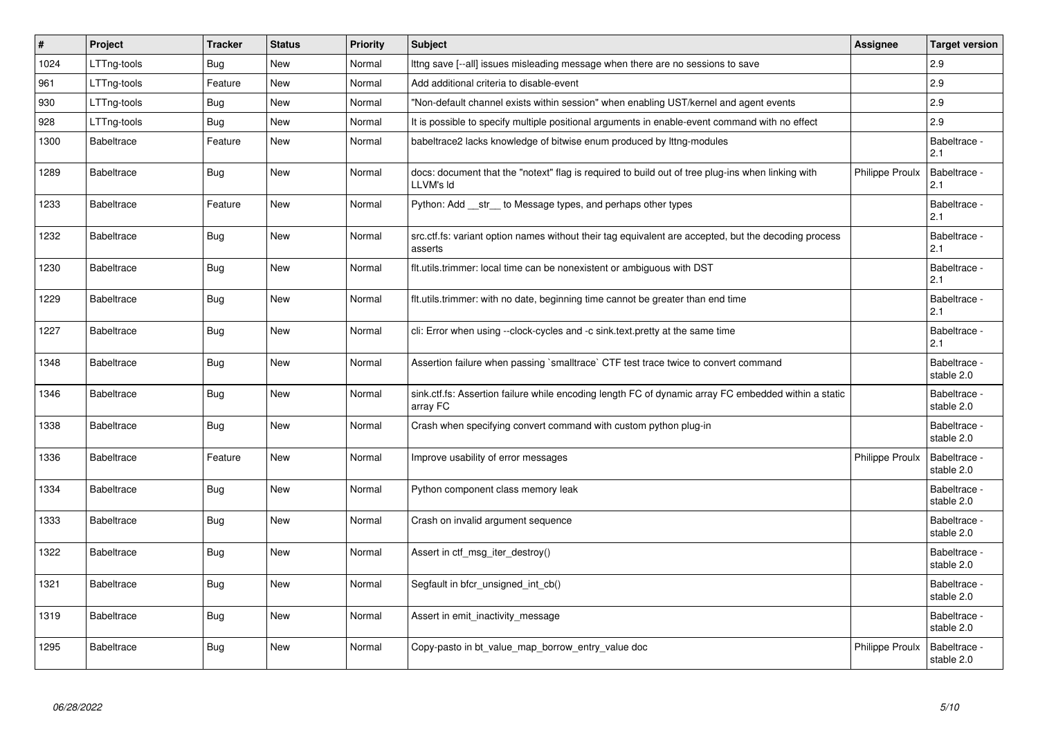| #    | Project           | <b>Tracker</b> | <b>Status</b> | Priority | <b>Subject</b>                                                                                                   | <b>Assignee</b>        | <b>Target version</b>      |
|------|-------------------|----------------|---------------|----------|------------------------------------------------------------------------------------------------------------------|------------------------|----------------------------|
| 1024 | LTTng-tools       | Bug            | New           | Normal   | Ittng save [--all] issues misleading message when there are no sessions to save                                  |                        | 2.9                        |
| 961  | LTTng-tools       | Feature        | <b>New</b>    | Normal   | Add additional criteria to disable-event                                                                         |                        | 2.9                        |
| 930  | LTTng-tools       | Bug            | New           | Normal   | "Non-default channel exists within session" when enabling UST/kernel and agent events                            |                        | 2.9                        |
| 928  | LTTng-tools       | <b>Bug</b>     | New           | Normal   | It is possible to specify multiple positional arguments in enable-event command with no effect                   |                        | 2.9                        |
| 1300 | <b>Babeltrace</b> | Feature        | New           | Normal   | babeltrace2 lacks knowledge of bitwise enum produced by lttng-modules                                            |                        | Babeltrace -<br>2.1        |
| 1289 | <b>Babeltrace</b> | Bug            | New           | Normal   | docs: document that the "notext" flag is required to build out of tree plug-ins when linking with<br>LLVM's Id   | <b>Philippe Proulx</b> | Babeltrace -<br>2.1        |
| 1233 | <b>Babeltrace</b> | Feature        | <b>New</b>    | Normal   | Python: Add __str__ to Message types, and perhaps other types                                                    |                        | Babeltrace -<br>2.1        |
| 1232 | <b>Babeltrace</b> | Bug            | <b>New</b>    | Normal   | src.ctf.fs: variant option names without their tag equivalent are accepted, but the decoding process<br>asserts  |                        | Babeltrace -<br>2.1        |
| 1230 | <b>Babeltrace</b> | <b>Bug</b>     | New           | Normal   | flt.utils.trimmer: local time can be nonexistent or ambiguous with DST                                           |                        | Babeltrace -<br>2.1        |
| 1229 | <b>Babeltrace</b> | <b>Bug</b>     | New           | Normal   | flt.utils.trimmer: with no date, beginning time cannot be greater than end time                                  |                        | Babeltrace -<br>2.1        |
| 1227 | <b>Babeltrace</b> | <b>Bug</b>     | New           | Normal   | cli: Error when using --clock-cycles and -c sink.text.pretty at the same time                                    |                        | Babeltrace -<br>2.1        |
| 1348 | <b>Babeltrace</b> | <b>Bug</b>     | New           | Normal   | Assertion failure when passing `smalltrace` CTF test trace twice to convert command                              |                        | Babeltrace -<br>stable 2.0 |
| 1346 | <b>Babeltrace</b> | <b>Bug</b>     | New           | Normal   | sink.ctf.fs: Assertion failure while encoding length FC of dynamic array FC embedded within a static<br>array FC |                        | Babeltrace -<br>stable 2.0 |
| 1338 | <b>Babeltrace</b> | <b>Bug</b>     | New           | Normal   | Crash when specifying convert command with custom python plug-in                                                 |                        | Babeltrace -<br>stable 2.0 |
| 1336 | <b>Babeltrace</b> | Feature        | New           | Normal   | Improve usability of error messages                                                                              | <b>Philippe Proulx</b> | Babeltrace -<br>stable 2.0 |
| 1334 | <b>Babeltrace</b> | Bug            | <b>New</b>    | Normal   | Python component class memory leak                                                                               |                        | Babeltrace -<br>stable 2.0 |
| 1333 | <b>Babeltrace</b> | Bug            | New           | Normal   | Crash on invalid argument sequence                                                                               |                        | Babeltrace -<br>stable 2.0 |
| 1322 | <b>Babeltrace</b> | Bug            | New           | Normal   | Assert in ctf_msg_iter_destroy()                                                                                 |                        | Babeltrace -<br>stable 2.0 |
| 1321 | <b>Babeltrace</b> | <b>Bug</b>     | New           | Normal   | Segfault in bfcr_unsigned_int_cb()                                                                               |                        | Babeltrace -<br>stable 2.0 |
| 1319 | <b>Babeltrace</b> | <b>Bug</b>     | New           | Normal   | Assert in emit_inactivity_message                                                                                |                        | Babeltrace -<br>stable 2.0 |
| 1295 | <b>Babeltrace</b> | Bug            | <b>New</b>    | Normal   | Copy-pasto in bt_value_map_borrow_entry_value doc                                                                | <b>Philippe Proulx</b> | Babeltrace -<br>stable 2.0 |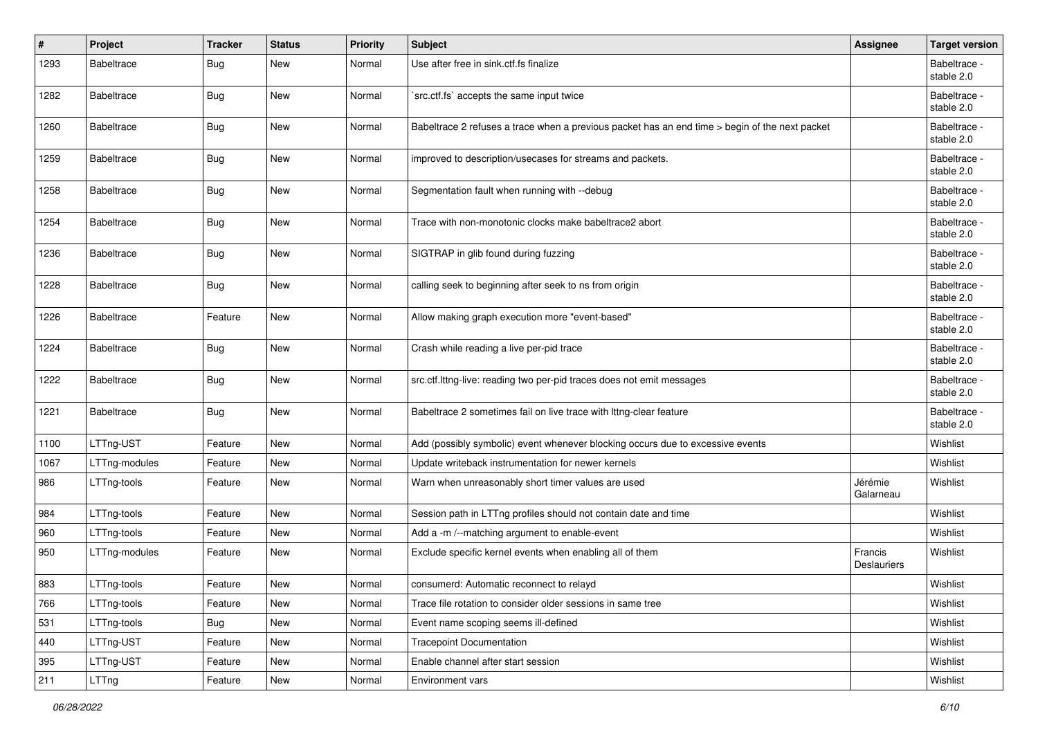| $\vert$ # | Project           | <b>Tracker</b> | <b>Status</b> | <b>Priority</b> | Subject                                                                                        | <b>Assignee</b>        | <b>Target version</b>      |
|-----------|-------------------|----------------|---------------|-----------------|------------------------------------------------------------------------------------------------|------------------------|----------------------------|
| 1293      | Babeltrace        | Bug            | New           | Normal          | Use after free in sink.ctf.fs finalize                                                         |                        | Babeltrace -<br>stable 2.0 |
| 1282      | Babeltrace        | Bug            | New           | Normal          | `src.ctf.fs` accepts the same input twice                                                      |                        | Babeltrace -<br>stable 2.0 |
| 1260      | <b>Babeltrace</b> | Bug            | New           | Normal          | Babeltrace 2 refuses a trace when a previous packet has an end time > begin of the next packet |                        | Babeltrace -<br>stable 2.0 |
| 1259      | Babeltrace        | <b>Bug</b>     | <b>New</b>    | Normal          | improved to description/usecases for streams and packets.                                      |                        | Babeltrace -<br>stable 2.0 |
| 1258      | <b>Babeltrace</b> | Bug            | <b>New</b>    | Normal          | Segmentation fault when running with --debug                                                   |                        | Babeltrace -<br>stable 2.0 |
| 1254      | <b>Babeltrace</b> | Bug            | New           | Normal          | Trace with non-monotonic clocks make babeltrace2 abort                                         |                        | Babeltrace -<br>stable 2.0 |
| 1236      | <b>Babeltrace</b> | Bug            | <b>New</b>    | Normal          | SIGTRAP in glib found during fuzzing                                                           |                        | Babeltrace -<br>stable 2.0 |
| 1228      | <b>Babeltrace</b> | Bug            | New           | Normal          | calling seek to beginning after seek to ns from origin                                         |                        | Babeltrace -<br>stable 2.0 |
| 1226      | Babeltrace        | Feature        | New           | Normal          | Allow making graph execution more "event-based"                                                |                        | Babeltrace -<br>stable 2.0 |
| 1224      | <b>Babeltrace</b> | <b>Bug</b>     | New           | Normal          | Crash while reading a live per-pid trace                                                       |                        | Babeltrace -<br>stable 2.0 |
| 1222      | Babeltrace        | Bug            | New           | Normal          | src.ctf.lttng-live: reading two per-pid traces does not emit messages                          |                        | Babeltrace -<br>stable 2.0 |
| 1221      | <b>Babeltrace</b> | Bug            | <b>New</b>    | Normal          | Babeltrace 2 sometimes fail on live trace with Ittng-clear feature                             |                        | Babeltrace -<br>stable 2.0 |
| 1100      | LTTng-UST         | Feature        | New           | Normal          | Add (possibly symbolic) event whenever blocking occurs due to excessive events                 |                        | Wishlist                   |
| 1067      | LTTng-modules     | Feature        | <b>New</b>    | Normal          | Update writeback instrumentation for newer kernels                                             |                        | Wishlist                   |
| 986       | LTTng-tools       | Feature        | New           | Normal          | Warn when unreasonably short timer values are used                                             | Jérémie<br>Galarneau   | Wishlist                   |
| 984       | LTTng-tools       | Feature        | <b>New</b>    | Normal          | Session path in LTTng profiles should not contain date and time                                |                        | Wishlist                   |
| 960       | LTTng-tools       | Feature        | New           | Normal          | Add a -m /--matching argument to enable-event                                                  |                        | Wishlist                   |
| 950       | LTTng-modules     | Feature        | New           | Normal          | Exclude specific kernel events when enabling all of them                                       | Francis<br>Deslauriers | Wishlist                   |
| 883       | LTTng-tools       | Feature        | New           | Normal          | consumerd: Automatic reconnect to relayd                                                       |                        | Wishlist                   |
| 766       | LTTng-tools       | Feature        | New           | Normal          | Trace file rotation to consider older sessions in same tree                                    |                        | Wishlist                   |
| 531       | LTTng-tools       | <b>Bug</b>     | New           | Normal          | Event name scoping seems ill-defined                                                           |                        | Wishlist                   |
| 440       | LTTng-UST         | Feature        | New           | Normal          | <b>Tracepoint Documentation</b>                                                                |                        | Wishlist                   |
| 395       | LTTng-UST         | Feature        | New           | Normal          | Enable channel after start session                                                             |                        | Wishlist                   |
| 211       | LTTng             | Feature        | New           | Normal          | Environment vars                                                                               |                        | Wishlist                   |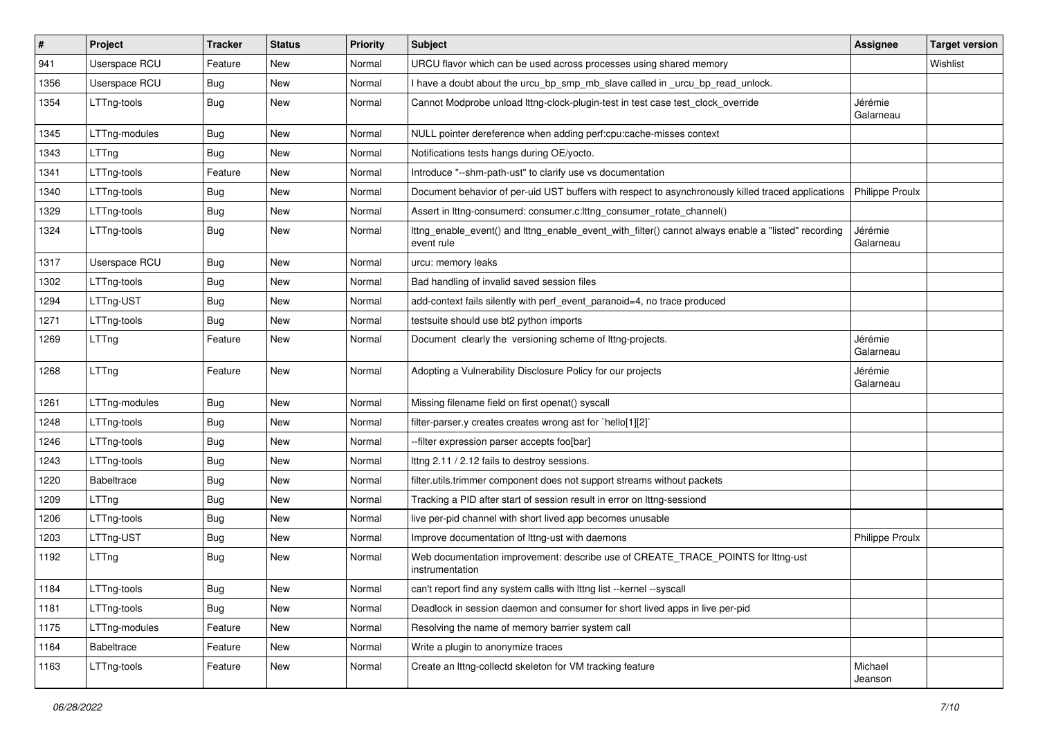| $\vert$ # | Project           | <b>Tracker</b> | <b>Status</b> | <b>Priority</b> | <b>Subject</b>                                                                                                    | <b>Assignee</b>        | <b>Target version</b> |
|-----------|-------------------|----------------|---------------|-----------------|-------------------------------------------------------------------------------------------------------------------|------------------------|-----------------------|
| 941       | Userspace RCU     | Feature        | New           | Normal          | URCU flavor which can be used across processes using shared memory                                                |                        | Wishlist              |
| 1356      | Userspace RCU     | <b>Bug</b>     | New           | Normal          | I have a doubt about the urcu_bp_smp_mb_slave called in _urcu_bp_read_unlock.                                     |                        |                       |
| 1354      | LTTng-tools       | <b>Bug</b>     | New           | Normal          | Cannot Modprobe unload lttng-clock-plugin-test in test case test_clock_override                                   | Jérémie<br>Galarneau   |                       |
| 1345      | LTTng-modules     | Bug            | New           | Normal          | NULL pointer dereference when adding perf:cpu:cache-misses context                                                |                        |                       |
| 1343      | LTTng             | Bug            | New           | Normal          | Notifications tests hangs during OE/yocto.                                                                        |                        |                       |
| 1341      | LTTng-tools       | Feature        | New           | Normal          | Introduce "--shm-path-ust" to clarify use vs documentation                                                        |                        |                       |
| 1340      | LTTng-tools       | Bug            | New           | Normal          | Document behavior of per-uid UST buffers with respect to asynchronously killed traced applications                | <b>Philippe Proulx</b> |                       |
| 1329      | LTTng-tools       | <b>Bug</b>     | New           | Normal          | Assert in lttng-consumerd: consumer.c:lttng_consumer_rotate_channel()                                             |                        |                       |
| 1324      | LTTng-tools       | Bug            | New           | Normal          | Ittng_enable_event() and Ittng_enable_event_with_filter() cannot always enable a "listed" recording<br>event rule | Jérémie<br>Galarneau   |                       |
| 1317      | Userspace RCU     | <b>Bug</b>     | New           | Normal          | urcu: memory leaks                                                                                                |                        |                       |
| 1302      | LTTng-tools       | <b>Bug</b>     | New           | Normal          | Bad handling of invalid saved session files                                                                       |                        |                       |
| 1294      | LTTng-UST         | <b>Bug</b>     | New           | Normal          | add-context fails silently with perf_event_paranoid=4, no trace produced                                          |                        |                       |
| 1271      | LTTng-tools       | <b>Bug</b>     | New           | Normal          | testsuite should use bt2 python imports                                                                           |                        |                       |
| 1269      | LTTng             | Feature        | New           | Normal          | Document clearly the versioning scheme of lttng-projects.                                                         | Jérémie<br>Galarneau   |                       |
| 1268      | LTTng             | Feature        | New           | Normal          | Adopting a Vulnerability Disclosure Policy for our projects                                                       | Jérémie<br>Galarneau   |                       |
| 1261      | LTTng-modules     | <b>Bug</b>     | New           | Normal          | Missing filename field on first openat() syscall                                                                  |                        |                       |
| 1248      | LTTng-tools       | <b>Bug</b>     | New           | Normal          | filter-parser.y creates creates wrong ast for `hello[1][2]`                                                       |                        |                       |
| 1246      | LTTng-tools       | Bug            | New           | Normal          | --filter expression parser accepts foo[bar]                                                                       |                        |                       |
| 1243      | LTTng-tools       | <b>Bug</b>     | New           | Normal          | Ittng 2.11 / 2.12 fails to destroy sessions.                                                                      |                        |                       |
| 1220      | <b>Babeltrace</b> | Bug            | New           | Normal          | filter.utils.trimmer component does not support streams without packets                                           |                        |                       |
| 1209      | LTTng             | <b>Bug</b>     | New           | Normal          | Tracking a PID after start of session result in error on lttng-sessiond                                           |                        |                       |
| 1206      | LTTng-tools       | Bug            | New           | Normal          | live per-pid channel with short lived app becomes unusable                                                        |                        |                       |
| 1203      | LTTng-UST         | <b>Bug</b>     | New           | Normal          | Improve documentation of Ittng-ust with daemons                                                                   | Philippe Proulx        |                       |
| 1192      | LTTng             | <b>Bug</b>     | New           | Normal          | Web documentation improvement: describe use of CREATE_TRACE_POINTS for lttng-ust<br>instrumentation               |                        |                       |
| 1184      | LTTng-tools       | Bug            | New           | Normal          | can't report find any system calls with lttng list --kernel --syscall                                             |                        |                       |
| 1181      | LTTng-tools       | <b>Bug</b>     | New           | Normal          | Deadlock in session daemon and consumer for short lived apps in live per-pid                                      |                        |                       |
| 1175      | LTTng-modules     | Feature        | New           | Normal          | Resolving the name of memory barrier system call                                                                  |                        |                       |
| 1164      | Babeltrace        | Feature        | New           | Normal          | Write a plugin to anonymize traces                                                                                |                        |                       |
| 1163      | LTTng-tools       | Feature        | New           | Normal          | Create an Ittng-collectd skeleton for VM tracking feature                                                         | Michael<br>Jeanson     |                       |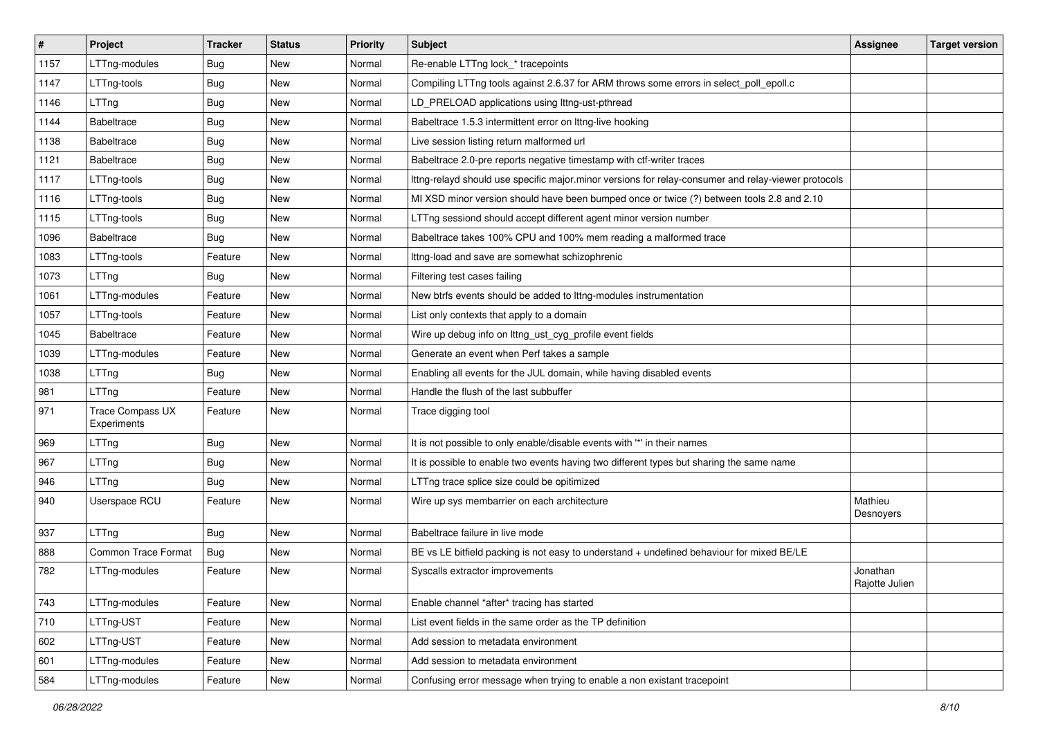| $\vert$ # | Project                                | <b>Tracker</b> | <b>Status</b> | Priority | Subject                                                                                             | <b>Assignee</b>            | <b>Target version</b> |
|-----------|----------------------------------------|----------------|---------------|----------|-----------------------------------------------------------------------------------------------------|----------------------------|-----------------------|
| 1157      | LTTng-modules                          | Bug            | New           | Normal   | Re-enable LTTng lock * tracepoints                                                                  |                            |                       |
| 1147      | LTTng-tools                            | Bug            | New           | Normal   | Compiling LTTng tools against 2.6.37 for ARM throws some errors in select_poll_epoll.c              |                            |                       |
| 1146      | LTTng                                  | Bug            | New           | Normal   | LD_PRELOAD applications using lttng-ust-pthread                                                     |                            |                       |
| 1144      | <b>Babeltrace</b>                      | Bug            | New           | Normal   | Babeltrace 1.5.3 intermittent error on Ittng-live hooking                                           |                            |                       |
| 1138      | <b>Babeltrace</b>                      | <b>Bug</b>     | New           | Normal   | Live session listing return malformed url                                                           |                            |                       |
| 1121      | <b>Babeltrace</b>                      | Bug            | New           | Normal   | Babeltrace 2.0-pre reports negative timestamp with ctf-writer traces                                |                            |                       |
| 1117      | LTTng-tools                            | Bug            | New           | Normal   | Ittng-relayd should use specific major.minor versions for relay-consumer and relay-viewer protocols |                            |                       |
| 1116      | LTTng-tools                            | <b>Bug</b>     | New           | Normal   | MI XSD minor version should have been bumped once or twice (?) between tools 2.8 and 2.10           |                            |                       |
| 1115      | LTTng-tools                            | Bug            | New           | Normal   | LTTng sessiond should accept different agent minor version number                                   |                            |                       |
| 1096      | <b>Babeltrace</b>                      | Bug            | New           | Normal   | Babeltrace takes 100% CPU and 100% mem reading a malformed trace                                    |                            |                       |
| 1083      | LTTng-tools                            | Feature        | New           | Normal   | Ittng-load and save are somewhat schizophrenic                                                      |                            |                       |
| 1073      | LTTng                                  | Bug            | New           | Normal   | Filtering test cases failing                                                                        |                            |                       |
| 1061      | LTTng-modules                          | Feature        | New           | Normal   | New btrfs events should be added to lttng-modules instrumentation                                   |                            |                       |
| 1057      | LTTng-tools                            | Feature        | New           | Normal   | List only contexts that apply to a domain                                                           |                            |                       |
| 1045      | <b>Babeltrace</b>                      | Feature        | New           | Normal   | Wire up debug info on lttng_ust_cyg_profile event fields                                            |                            |                       |
| 1039      | LTTng-modules                          | Feature        | New           | Normal   | Generate an event when Perf takes a sample                                                          |                            |                       |
| 1038      | LTTng                                  | Bug            | New           | Normal   | Enabling all events for the JUL domain, while having disabled events                                |                            |                       |
| 981       | LTTng                                  | Feature        | New           | Normal   | Handle the flush of the last subbuffer                                                              |                            |                       |
| 971       | <b>Trace Compass UX</b><br>Experiments | Feature        | New           | Normal   | Trace digging tool                                                                                  |                            |                       |
| 969       | LTTng                                  | Bug            | <b>New</b>    | Normal   | It is not possible to only enable/disable events with "*' in their names                            |                            |                       |
| 967       | LTTng                                  | Bug            | New           | Normal   | It is possible to enable two events having two different types but sharing the same name            |                            |                       |
| 946       | LTTng                                  | Bug            | New           | Normal   | LTTng trace splice size could be opitimized                                                         |                            |                       |
| 940       | Userspace RCU                          | Feature        | New           | Normal   | Wire up sys membarrier on each architecture                                                         | Mathieu<br>Desnoyers       |                       |
| 937       | LTTng                                  | Bug            | New           | Normal   | Babeltrace failure in live mode                                                                     |                            |                       |
| 888       | Common Trace Format                    | <b>Bug</b>     | New           | Normal   | BE vs LE bitfield packing is not easy to understand + undefined behaviour for mixed BE/LE           |                            |                       |
| 782       | LTTng-modules                          | Feature        | New           | Normal   | Syscalls extractor improvements                                                                     | Jonathan<br>Rajotte Julien |                       |
| 743       | LTTng-modules                          | Feature        | New           | Normal   | Enable channel *after* tracing has started                                                          |                            |                       |
| 710       | LTTng-UST                              | Feature        | New           | Normal   | List event fields in the same order as the TP definition                                            |                            |                       |
| 602       | LTTng-UST                              | Feature        | New           | Normal   | Add session to metadata environment                                                                 |                            |                       |
| 601       | LTTng-modules                          | Feature        | New           | Normal   | Add session to metadata environment                                                                 |                            |                       |
| 584       | LTTng-modules                          | Feature        | New           | Normal   | Confusing error message when trying to enable a non existant tracepoint                             |                            |                       |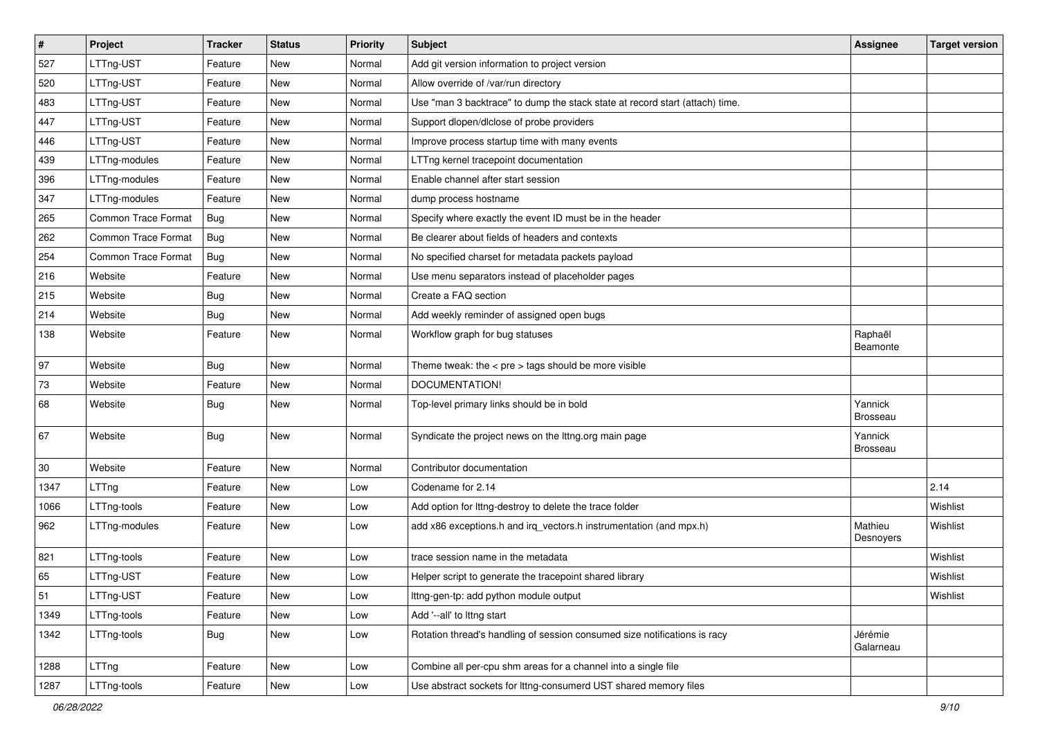| $\vert$ # | Project             | <b>Tracker</b> | <b>Status</b> | Priority | Subject                                                                      | Assignee                   | <b>Target version</b> |
|-----------|---------------------|----------------|---------------|----------|------------------------------------------------------------------------------|----------------------------|-----------------------|
| 527       | LTTng-UST           | Feature        | New           | Normal   | Add git version information to project version                               |                            |                       |
| 520       | LTTng-UST           | Feature        | <b>New</b>    | Normal   | Allow override of /var/run directory                                         |                            |                       |
| 483       | LTTng-UST           | Feature        | New           | Normal   | Use "man 3 backtrace" to dump the stack state at record start (attach) time. |                            |                       |
| 447       | LTTng-UST           | Feature        | New           | Normal   | Support dlopen/dlclose of probe providers                                    |                            |                       |
| 446       | LTTng-UST           | Feature        | New           | Normal   | Improve process startup time with many events                                |                            |                       |
| 439       | LTTng-modules       | Feature        | New           | Normal   | LTTng kernel tracepoint documentation                                        |                            |                       |
| 396       | LTTng-modules       | Feature        | New           | Normal   | Enable channel after start session                                           |                            |                       |
| 347       | LTTng-modules       | Feature        | New           | Normal   | dump process hostname                                                        |                            |                       |
| 265       | Common Trace Format | <b>Bug</b>     | New           | Normal   | Specify where exactly the event ID must be in the header                     |                            |                       |
| 262       | Common Trace Format | Bug            | New           | Normal   | Be clearer about fields of headers and contexts                              |                            |                       |
| 254       | Common Trace Format | Bug            | New           | Normal   | No specified charset for metadata packets payload                            |                            |                       |
| 216       | Website             | Feature        | New           | Normal   | Use menu separators instead of placeholder pages                             |                            |                       |
| 215       | Website             | Bug            | New           | Normal   | Create a FAQ section                                                         |                            |                       |
| 214       | Website             | Bug            | New           | Normal   | Add weekly reminder of assigned open bugs                                    |                            |                       |
| 138       | Website             | Feature        | New           | Normal   | Workflow graph for bug statuses                                              | Raphaël<br>Beamonte        |                       |
| 97        | Website             | Bug            | New           | Normal   | Theme tweak: the $<$ pre $>$ tags should be more visible                     |                            |                       |
| 73        | Website             | Feature        | New           | Normal   | DOCUMENTATION!                                                               |                            |                       |
| 68        | Website             | Bug            | New           | Normal   | Top-level primary links should be in bold                                    | Yannick<br>Brosseau        |                       |
| 67        | Website             | Bug            | New           | Normal   | Syndicate the project news on the lttng.org main page                        | Yannick<br><b>Brosseau</b> |                       |
| 30        | Website             | Feature        | New           | Normal   | Contributor documentation                                                    |                            |                       |
| 1347      | LTTng               | Feature        | New           | Low      | Codename for 2.14                                                            |                            | 2.14                  |
| 1066      | LTTng-tools         | Feature        | New           | Low      | Add option for lttng-destroy to delete the trace folder                      |                            | Wishlist              |
| 962       | LTTng-modules       | Feature        | New           | Low      | add x86 exceptions.h and irq_vectors.h instrumentation (and mpx.h)           | Mathieu<br>Desnoyers       | Wishlist              |
| 821       | LTTng-tools         | Feature        | New           | Low      | trace session name in the metadata                                           |                            | Wishlist              |
| 65        | LTTng-UST           | Feature        | New           | Low      | Helper script to generate the tracepoint shared library                      |                            | Wishlist              |
| 51        | LTTng-UST           | Feature        | New           | Low      | Ittng-gen-tp: add python module output                                       |                            | Wishlist              |
| 1349      | LTTng-tools         | Feature        | New           | Low      | Add '--all' to lttng start                                                   |                            |                       |
| 1342      | LTTng-tools         | <b>Bug</b>     | New           | Low      | Rotation thread's handling of session consumed size notifications is racy    | Jérémie<br>Galarneau       |                       |
| 1288      | LTTng               | Feature        | New           | Low      | Combine all per-cpu shm areas for a channel into a single file               |                            |                       |
| 1287      | LTTng-tools         | Feature        | New           | Low      | Use abstract sockets for lttng-consumerd UST shared memory files             |                            |                       |